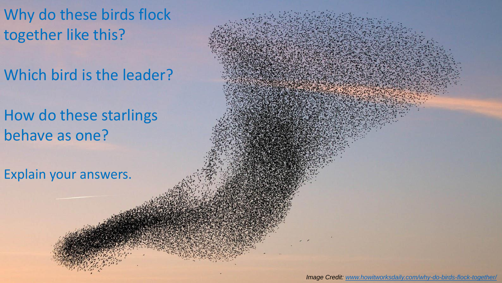Why do these birds flock together like this?

Which bird is the leader?

How do these starlings behave as one?

Explain your answers.